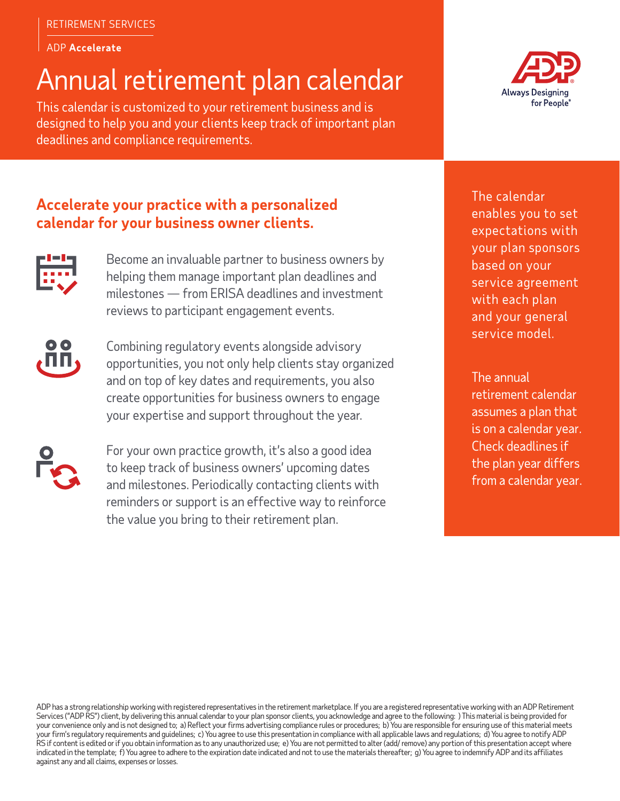### ADP **Accelerate**

# Annual retirement plan calendar

This calendar is customized to your retirement business and is designed to help you and your clients keep track of important plan deadlines and compliance requirements.



## **Accelerate your practice with a personalized calendar for your business owner clients.**



Become an invaluable partner to business owners by helping them manage important plan deadlines and milestones — from ERISA deadlines and investment reviews to participant engagement events.



Combining regulatory events alongside advisory opportunities, you not only help clients stay organized and on top of key dates and requirements, you also create opportunities for business owners to engage your expertise and support throughout the year.



For your own practice growth, it's also a good idea to keep track of business owners' upcoming dates and milestones. Periodically contacting clients with reminders or support is an effective way to reinforce the value you bring to their retirement plan.

The calendar enables you to set expectations with your plan sponsors based on your service agreement with each plan and your general service model.

The annual retirement calendar assumes a plan that is on a calendar year. Check deadlines if the plan year differs from a calendar year.

ADP has a strong relationship working with registered representatives in the retirement marketplace. If you are a registered representative working with an ADP Retirement Services ("ADP RS") client, by delivering this annual calendar to your plan sponsor clients, you acknowledge and agree to the following: ) This material is being provided for your convenience only and is not designed to; a) Reflect your firms advertising compliance rules or procedures; b) You are responsible for ensuring use of this material meets your firm's regulatory requirements and guidelines; c) You agree to use this presentation in compliance with all applicable laws and regulations; d) You agree to notify ADP RS if content is edited or if you obtain information as to any unauthorized use; e) You are not permitted to alter (add/ remove) any portion of this presentation accept where indicated in the template; f) You agree to adhere to the expiration date indicated and not to use the materials thereafter; g) You agree to indemnify ADP and its affiliates against any and all claims, expenses or losses.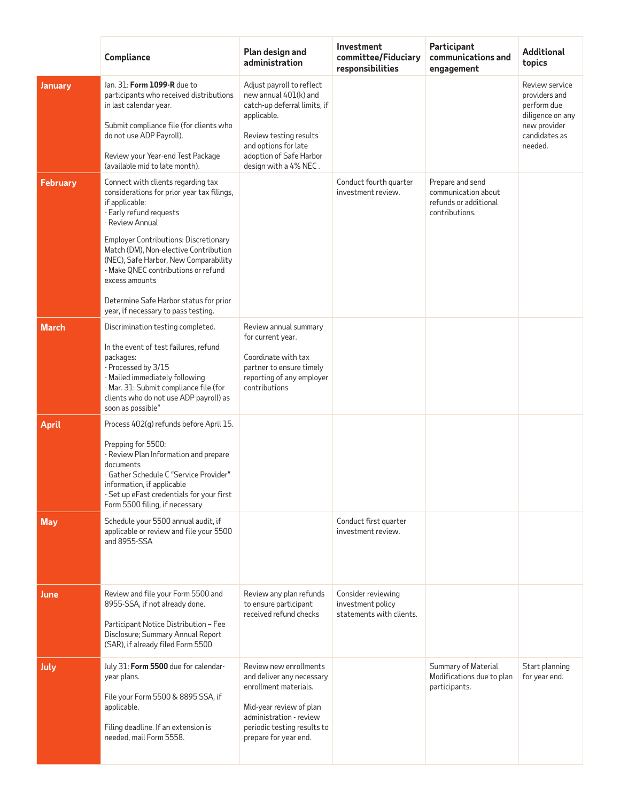|                 | Compliance                                                                                                                                                                                                                                                                                                                                                                                                            | Plan design and<br>administration                                                                                                                                                                       | Investment<br>committee/Fiduciary<br>responsibilities               | Participant<br>communications and<br>engagement                                    | Additional<br>topics                                                                                           |
|-----------------|-----------------------------------------------------------------------------------------------------------------------------------------------------------------------------------------------------------------------------------------------------------------------------------------------------------------------------------------------------------------------------------------------------------------------|---------------------------------------------------------------------------------------------------------------------------------------------------------------------------------------------------------|---------------------------------------------------------------------|------------------------------------------------------------------------------------|----------------------------------------------------------------------------------------------------------------|
| January         | Jan. 31: Form 1099-R due to<br>participants who received distributions<br>in last calendar year.<br>Submit compliance file (for clients who<br>do not use ADP Payroll).<br>Review your Year-end Test Package<br>(available mid to late month).                                                                                                                                                                        | Adjust payroll to reflect<br>new annual 401(k) and<br>catch-up deferral limits, if<br>applicable.<br>Review testing results<br>and options for late<br>adoption of Safe Harbor<br>design with a 4% NEC. |                                                                     |                                                                                    | Review service<br>providers and<br>perform due<br>diligence on any<br>new provider<br>candidates as<br>needed. |
| <b>February</b> | Connect with clients regarding tax<br>considerations for prior year tax filings,<br>if applicable:<br>- Early refund requests<br>- Review Annual<br>Employer Contributions: Discretionary<br>Match (DM), Non-elective Contribution<br>(NEC), Safe Harbor, New Comparability<br>- Make QNEC contributions or refund<br>excess amounts<br>Determine Safe Harbor status for prior<br>year, if necessary to pass testing. |                                                                                                                                                                                                         | Conduct fourth quarter<br>investment review.                        | Prepare and send<br>communication about<br>refunds or additional<br>contributions. |                                                                                                                |
| <b>March</b>    | Discrimination testing completed.<br>In the event of test failures, refund<br>packages:<br>- Processed by 3/15<br>- Mailed immediately following<br>- Mar. 31: Submit compliance file (for<br>clients who do not use ADP payroll) as<br>soon as possible"                                                                                                                                                             | Review annual summary<br>for current year.<br>Coordinate with tax<br>partner to ensure timely<br>reporting of any employer<br>contributions                                                             |                                                                     |                                                                                    |                                                                                                                |
| <b>April</b>    | Process 402(g) refunds before April 15.<br>Prepping for 5500:<br>- Review Plan Information and prepare<br>documents<br>- Gather Schedule C "Service Provider"<br>information, if applicable<br>- Set up eFast credentials for your first<br>Form 5500 filing, if necessary                                                                                                                                            |                                                                                                                                                                                                         |                                                                     |                                                                                    |                                                                                                                |
| <b>May</b>      | Schedule your 5500 annual audit, if<br>applicable or review and file your 5500<br>and 8955-SSA                                                                                                                                                                                                                                                                                                                        |                                                                                                                                                                                                         | Conduct first quarter<br>investment review.                         |                                                                                    |                                                                                                                |
| June            | Review and file your Form 5500 and<br>8955-SSA, if not already done.<br>Participant Notice Distribution - Fee<br>Disclosure; Summary Annual Report<br>(SAR), if already filed Form 5500                                                                                                                                                                                                                               | Review any plan refunds<br>to ensure participant<br>received refund checks                                                                                                                              | Consider reviewing<br>investment policy<br>statements with clients. |                                                                                    |                                                                                                                |
| July            | July 31: Form 5500 due for calendar-<br>year plans.<br>File your Form 5500 & 8895 SSA, if<br>applicable.<br>Filing deadline. If an extension is<br>needed, mail Form 5558.                                                                                                                                                                                                                                            | Review new enrollments<br>and deliver any necessary<br>enrollment materials.<br>Mid-year review of plan<br>administration - review<br>periodic testing results to<br>prepare for year end.              |                                                                     | Summary of Material<br>Modifications due to plan<br>participants.                  | Start planning<br>for year end.                                                                                |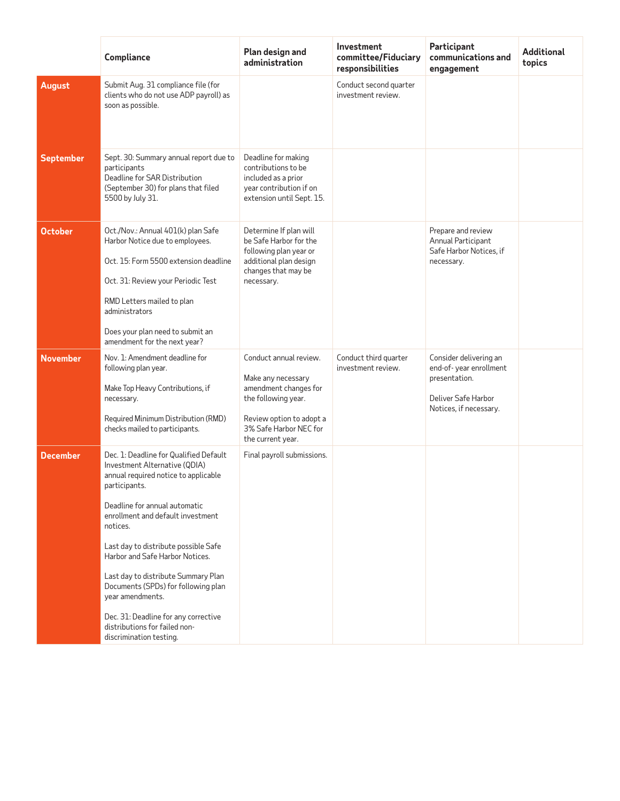|                  | Compliance                                                                                                                                                                                                                                                                                                                                                                                                                                                                                          | Plan design and<br>administration                                                                                                                                       | Investment<br>committee/Fiduciary<br>responsibilities | Participant<br>communications and<br>engagement                                                                    | <b>Additional</b><br>topics |
|------------------|-----------------------------------------------------------------------------------------------------------------------------------------------------------------------------------------------------------------------------------------------------------------------------------------------------------------------------------------------------------------------------------------------------------------------------------------------------------------------------------------------------|-------------------------------------------------------------------------------------------------------------------------------------------------------------------------|-------------------------------------------------------|--------------------------------------------------------------------------------------------------------------------|-----------------------------|
| <b>August</b>    | Submit Aug. 31 compliance file (for<br>clients who do not use ADP payroll) as<br>soon as possible.                                                                                                                                                                                                                                                                                                                                                                                                  |                                                                                                                                                                         | Conduct second quarter<br>investment review.          |                                                                                                                    |                             |
| <b>September</b> | Sept. 30: Summary annual report due to<br>participants<br>Deadline for SAR Distribution<br>(September 30) for plans that filed<br>5500 by July 31.                                                                                                                                                                                                                                                                                                                                                  | Deadline for making<br>contributions to be<br>included as a prior<br>year contribution if on<br>extension until Sept. 15.                                               |                                                       |                                                                                                                    |                             |
| <b>October</b>   | Oct./Nov.: Annual 401(k) plan Safe<br>Harbor Notice due to employees.<br>Oct. 15: Form 5500 extension deadline<br>Oct. 31: Review your Periodic Test<br>RMD Letters mailed to plan<br>administrators<br>Does your plan need to submit an<br>amendment for the next year?                                                                                                                                                                                                                            | Determine If plan will<br>be Safe Harbor for the<br>following plan year or<br>additional plan design<br>changes that may be<br>necessary.                               |                                                       | Prepare and review<br>Annual Participant<br>Safe Harbor Notices, if<br>necessary.                                  |                             |
| <b>November</b>  | Nov. 1: Amendment deadline for<br>following plan year.<br>Make Top Heavy Contributions, if<br>necessary.<br>Required Minimum Distribution (RMD)<br>checks mailed to participants.                                                                                                                                                                                                                                                                                                                   | Conduct annual review.<br>Make any necessary<br>amendment changes for<br>the following year.<br>Review option to adopt a<br>3% Safe Harbor NEC for<br>the current year. | Conduct third quarter<br>investment review.           | Consider delivering an<br>end-of-year enrollment<br>presentation.<br>Deliver Safe Harbor<br>Notices, if necessary. |                             |
| <b>December</b>  | Dec. 1: Deadline for Qualified Default<br>Investment Alternative (QDIA)<br>annual required notice to applicable<br>participants.<br>Deadline for annual automatic<br>enrollment and default investment<br>notices.<br>Last day to distribute possible Safe<br>Harbor and Safe Harbor Notices.<br>Last day to distribute Summary Plan<br>Documents (SPDs) for following plan<br>year amendments.<br>Dec. 31: Deadline for any corrective<br>distributions for failed non-<br>discrimination testing. | Final payroll submissions.                                                                                                                                              |                                                       |                                                                                                                    |                             |